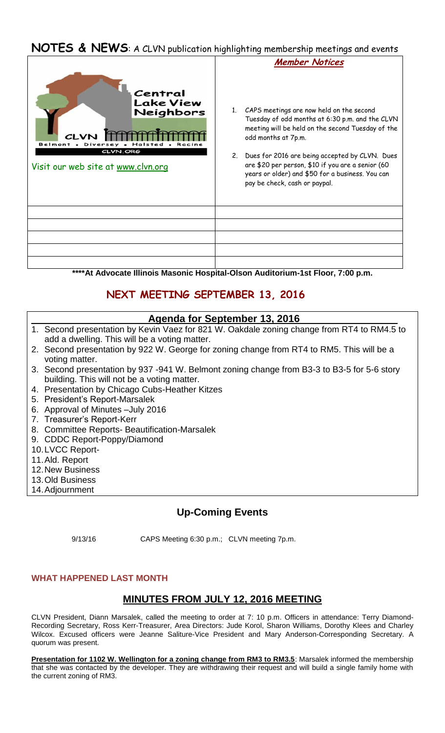# **NOTES & NEWS**: A CLVN publication highlighting membership meetings and events



**\*\*\*\*At Advocate Illinois Masonic Hospital-Olson Auditorium-1st Floor, 7:00 p.m.**

# **NEXT MEETING SEPTEMBER 13, 2016**

### **Agenda for September 13, 2016**

- 1. Second presentation by Kevin Vaez for 821 W. Oakdale zoning change from RT4 to RM4.5 to add a dwelling. This will be a voting matter.
- 2. Second presentation by 922 W. George for zoning change from RT4 to RM5. This will be a voting matter.
- 3. Second presentation by 937 -941 W. Belmont zoning change from B3-3 to B3-5 for 5-6 story building. This will not be a voting matter.
- 4. Presentation by Chicago Cubs-Heather Kitzes
- 5. President's Report-Marsalek
- 6. Approval of Minutes –July 2016
- 7. Treasurer's Report-Kerr
- 8. Committee Reports- Beautification-Marsalek
- 9. CDDC Report-Poppy/Diamond
- 10.LVCC Report-
- 11.Ald. Report
- 12.New Business
- 13.Old Business
- 14.Adjournment

# **Up-Coming Events**

9/13/16 CAPS Meeting 6:30 p.m.; CLVN meeting 7p.m.

### **WHAT HAPPENED LAST MONTH**

## **MINUTES FROM JULY 12, 2016 MEETING**

CLVN President, Diann Marsalek, called the meeting to order at 7: 10 p.m. Officers in attendance: Terry Diamond-Recording Secretary, Ross Kerr-Treasurer, Area Directors: Jude Korol, Sharon Williams, Dorothy Klees and Charley Wilcox. Excused officers were Jeanne Saliture-Vice President and Mary Anderson-Corresponding Secretary. A quorum was present.

**Presentation for 1102 W. Wellington for a zoning change from RM3 to RM3.5**: Marsalek informed the membership that she was contacted by the developer. They are withdrawing their request and will build a single family home with the current zoning of RM3.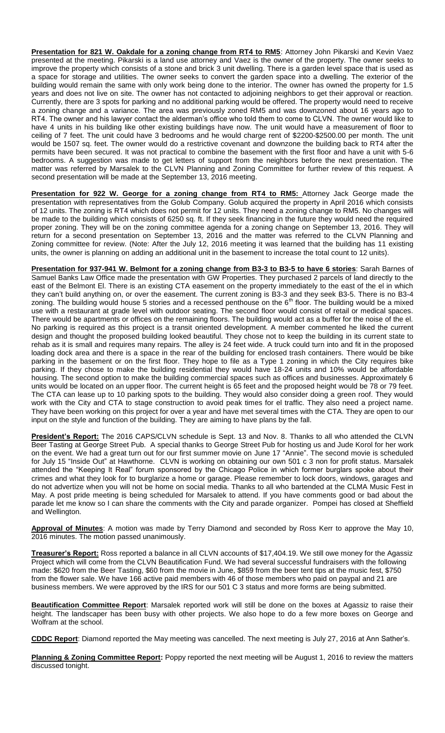Presentation for 821 W. Oakdale for a zoning change from RT4 to RM5: Attorney John Pikarski and Kevin Vaez presented at the meeting. Pikarski is a land use attorney and Vaez is the owner of the property. The owner seeks to improve the property which consists of a stone and brick 3 unit dwelling. There is a garden level space that is used as a space for storage and utilities. The owner seeks to convert the garden space into a dwelling. The exterior of the building would remain the same with only work being done to the interior. The owner has owned the property for 1.5 years and does not live on site. The owner has not contacted to adjoining neighbors to get their approval or reaction. Currently, there are 3 spots for parking and no additional parking would be offered. The property would need to receive a zoning change and a variance. The area was previously zoned RM5 and was downzoned about 16 years ago to RT4. The owner and his lawyer contact the alderman's office who told them to come to CLVN. The owner would like to have 4 units in his building like other existing buildings have now. The unit would have a measurement of floor to ceiling of 7 feet. The unit could have 3 bedrooms and he would charge rent of \$2200-\$2500.00 per month. The unit would be 1507 sq. feet. The owner would do a restrictive covenant and downzone the building back to RT4 after the permits have been secured. It was not practical to combine the basement with the first floor and have a unit with 5-6 bedrooms. A suggestion was made to get letters of support from the neighbors before the next presentation. The matter was referred by Marsalek to the CLVN Planning and Zoning Committee for further review of this request. A second presentation will be made at the September 13, 2016 meeting.

**Presentation for 922 W. George for a zoning change from RT4 to RM5:** Attorney Jack George made the presentation with representatives from the Golub Company. Golub acquired the property in April 2016 which consists of 12 units. The zoning is RT4 which does not permit for 12 units. They need a zoning change to RM5. No changes will be made to the building which consists of 6250 sq. ft. If they seek financing in the future they would need the required proper zoning. They will be on the zoning committee agenda for a zoning change on September 13, 2016. They will return for a second presentation on September 13, 2016 and the matter was referred to the CLVN Planning and Zoning committee for review. (Note: After the July 12, 2016 meeting it was learned that the building has 11 existing units, the owner is planning on adding an additional unit in the basement to increase the total count to 12 units).

**Presentation for 937-941 W. Belmont for a zoning change from B3-3 to B3-5 to have 6 stories**: Sarah Barnes of Samuel Banks Law Office made the presentation with GW Properties. They purchased 2 parcels of land directly to the east of the Belmont El. There is an existing CTA easement on the property immediately to the east of the el in which they can't build anything on, or over the easement. The current zoning is B3-3 and they seek B3-5. There is no B3-4 zoning. The building would house 5 stories and a recessed penthouse on the  $6<sup>th</sup>$  floor. The building would be a mixed use with a restaurant at grade level with outdoor seating. The second floor would consist of retail or medical spaces. There would be apartments or offices on the remaining floors. The building would act as a buffer for the noise of the el. No parking is required as this project is a transit oriented development. A member commented he liked the current design and thought the proposed building looked beautiful. They chose not to keep the building in its current state to rehab as it is small and requires many repairs. The alley is 24 feet wide. A truck could turn into and fit in the proposed loading dock area and there is a space in the rear of the building for enclosed trash containers. There would be bike parking in the basement or on the first floor. They hope to file as a Type 1 zoning in which the City requires bike parking. If they chose to make the building residential they would have 18-24 units and 10% would be affordable housing. The second option to make the building commercial spaces such as offices and businesses. Approximately 6 units would be located on an upper floor. The current height is 65 feet and the proposed height would be 78 or 79 feet. The CTA can lease up to 10 parking spots to the building. They would also consider doing a green roof. They would work with the City and CTA to stage construction to avoid peak times for el traffic. They also need a project name. They have been working on this project for over a year and have met several times with the CTA. They are open to our input on the style and function of the building. They are aiming to have plans by the fall.

**President's Report:** The 2016 CAPS/CLVN schedule is Sept. 13 and Nov. 8. Thanks to all who attended the CLVN Beer Tasting at George Street Pub. A special thanks to George Street Pub for hosting us and Jude Korol for her work on the event. We had a great turn out for our first summer movie on June 17 "Annie". The second movie is scheduled for July 15 "Inside Out" at Hawthorne. CLVN is working on obtaining our own 501 c 3 non for profit status. Marsalek attended the "Keeping It Real" forum sponsored by the Chicago Police in which former burglars spoke about their crimes and what they look for to burglarize a home or garage. Please remember to lock doors, windows, garages and do not advertize when you will not be home on social media. Thanks to all who bartended at the CLMA Music Fest in May. A post pride meeting is being scheduled for Marsalek to attend. If you have comments good or bad about the parade let me know so I can share the comments with the City and parade organizer. Pompei has closed at Sheffield and Wellington.

**Approval of Minutes**: A motion was made by Terry Diamond and seconded by Ross Kerr to approve the May 10, 2016 minutes. The motion passed unanimously.

**Treasurer's Report:** Ross reported a balance in all CLVN accounts of \$17,404.19. We still owe money for the Agassiz Project which will come from the CLVN Beautification Fund. We had several successful fundraisers with the following made: \$620 from the Beer Tasting, \$60 from the movie in June, \$859 from the beer tent tips at the music fest, \$750 from the flower sale. We have 166 active paid members with 46 of those members who paid on paypal and 21 are business members. We were approved by the IRS for our 501 C 3 status and more forms are being submitted.

**Beautification Committee Report**: Marsalek reported work will still be done on the boxes at Agassiz to raise their height. The landscaper has been busy with other projects. We also hope to do a few more boxes on George and Wolfram at the school.

**CDDC Report**: Diamond reported the May meeting was cancelled. The next meeting is July 27, 2016 at Ann Sather's.

**Planning & Zoning Committee Report:** Poppy reported the next meeting will be August 1, 2016 to review the matters discussed tonight.